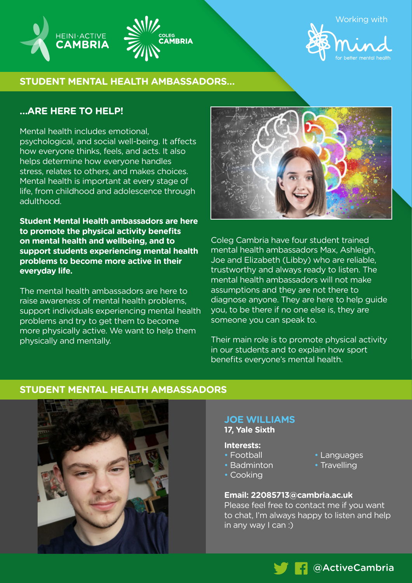

Working with



# **STUDENT MENTAL HEALTH AMBASSADORS…**

# **…ARE HERE TO HELP!**

**HEINI·ACTIVE** 

**CAMBRIA** 

Mental health includes emotional, psychological, and social well-being. It affects how everyone thinks, feels, and acts. It also helps determine how everyone handles stress, relates to others, and makes choices. Mental health is important at every stage of life, from childhood and adolescence through adulthood.

**Student Mental Health ambassadors are here to promote the physical activity benefits on mental health and wellbeing, and to support students experiencing mental health problems to become more active in their everyday life.** 

The mental health ambassadors are here to raise awareness of mental health problems, support individuals experiencing mental health problems and try to get them to become more physically active. We want to help them physically and mentally.



Coleg Cambria have four student trained mental health ambassadors Max, Ashleigh, Joe and Elizabeth (Libby) who are reliable, trustworthy and always ready to listen. The mental health ambassadors will not make assumptions and they are not there to diagnose anyone. They are here to help guide you, to be there if no one else is, they are someone you can speak to.

Their main role is to promote physical activity in our students and to explain how sport benefits everyone's mental health.

# **STUDENT MENTAL HEALTH AMBASSADORS**



#### **JOE WILLIAMS 17, Yale Sixth**

#### **Interests:**

- Football
- Badminton
- Cooking
- Languages
- Travelling
- 

## **Email: 22085713@cambria.ac.uk**

Please feel free to contact me if you want to chat, I'm always happy to listen and help in any way I can :)